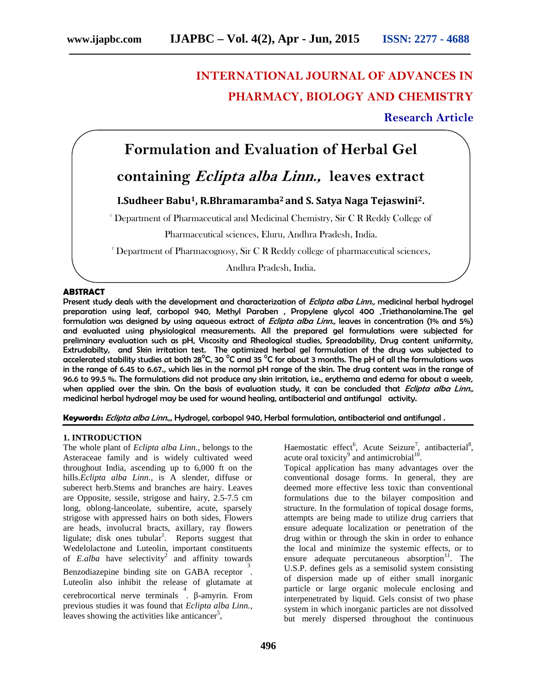# **INTERNATIONAL JOURNAL OF ADVANCES IN PHARMACY, BIOLOGY AND CHEMISTRY**

**Research Article**

## **Formulation and Evaluation of Herbal Gel**

## **containing** *Eclipta alba Linn.,* **leaves extract**

### **I.Sudheer Babu1, R.Bhramaramba<sup>2</sup> and S. Satya Naga Tejaswini2.**

<sup>1</sup> Department of Pharmaceutical and Medicinal Chemistry, Sir C R Reddy College of

Pharmaceutical sciences, Eluru, Andhra Pradesh, India.

<sup>2</sup> Department of Pharmacognosy, Sir C R Reddy college of pharmaceutical sciences,

Andhra Pradesh, India.

#### **ABSTRACT**

Present study deals with the development and characterization of *Eclipta alba Linn.,* medicinal herbal hydrogel preparation using leaf, carbopol 940, Methyl Paraben , Propylene glycol 400 ,Triethanolamine.The gel formulation was designed by using aqueous extract of *Eclipta alba Linn.,* leaves in concentration (1% and 5%) and evaluated using physiological measurements. All the prepared gel formulations were subjected for preliminary evaluation such as pH, Viscosity and Rheological studies, Spreadability, Drug content uniformity, Extrudabilty, and Skin irritation test. The optimized herbal gel formulation of the drug was subjected to accelerated stability studies at both 28 $^{\circ}$ C, 30 $^{\circ}$ C and 35 $^{\circ}$ C for about 3 months. The pH of all the formulations was in the range of 6.45 to 6.67., which lies in the normal pH range of the skin. The drug content was in the range of 96.6 to 99.5 %. The formulations did not produce any skin irritation, i.e., erythema and edema for about a week, when applied over the skin. On the basis of evaluation study, it can be concluded that *Eclipta alba Linn.,* medicinal herbal hydrogel may be used for wound healing, antibacterial and antifungal activity.

**Keywords:** *Eclipta alba Linn.,*, Hydrogel, carbopol 940, Herbal formulation, antibacterial and antifungal .

#### **1. INTRODUCTION**

The whole plant of *Eclipta alba Linn.*, belongs to the Asteraceae family and is widely cultivated weed throughout India, ascending up to 6,000 ft on the hills.*Eclipta alba Linn.,* is A slender, diffuse or suberect herb.Stems and branches are hairy. Leaves are Opposite, sessile, strigose and hairy, 2.5-7.5 cm long, oblong-lanceolate, subentire, acute, sparsely strigose with appressed hairs on both sides, Flowers are heads, involucral bracts, axillary, ray flowers ligulate; disk ones tubular<sup>1</sup>. Reports suggest that Wedelolactone and Luteolin, important constituents of *E.alba* have selectivity<sup>2</sup> and affinity towards Benzodiazepine binding site on GABA receptor . 3 Luteolin also inhibit the release of glutamate at cerebrocortical nerve terminals  $\frac{4}{1}$  -amyrin. From  $\frac{1}{1}$  interprevious studies it was found that *Eclipta alba Linn.*, leaves showing the activities like anticancer<sup>5</sup>,

Haemostatic effect<sup>6</sup>, Acute Seizure<sup>7</sup>, antibacterial<sup>8</sup>, acute oral toxicity<sup>9</sup> and antimicrobial<sup>10</sup>.

Topical application has many advantages over the conventional dosage forms. In general, they are deemed more effective less toxic than conventional formulations due to the bilayer composition and structure. In the formulation of topical dosage forms, attempts are being made to utilize drug carriers that ensure adequate localization or penetration of the drug within or through the skin in order to enhance the local and minimize the systemic effects, or to ensure adequate percutaneous absorption $11$ . The U.S.P. defines gels as a semisolid system consisting of dispersion made up of either small inorganic particle or large organic molecule enclosing and interpenetrated by liquid. Gels consist of two phase system in which inorganic particles are not dissolved but merely dispersed throughout the continuous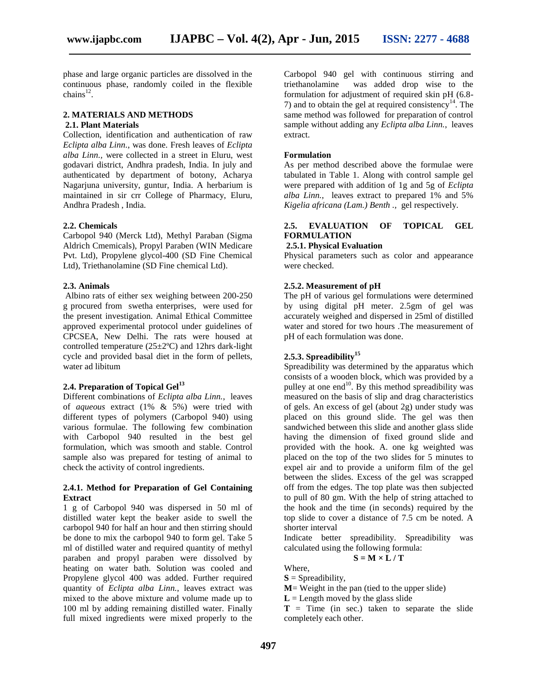phase and large organic particles are dissolved in the continuous phase, randomly coiled in the flexible  $\text{chains}^{12}$ .

#### **2. MATERIALS AND METHODS 2.1. Plant Materials**

Collection, identification and authentication of raw *Eclipta alba Linn.*, was done. Fresh leaves of *Eclipta alba Linn.,* were collected in a street in Eluru, west godavari district, Andhra pradesh, India. In july and authenticated by department of botony, Acharya Nagarjuna university, guntur, India. A herbarium is maintained in sir crr College of Pharmacy, Eluru, Andhra Pradesh , India.

#### **2.2. Chemicals**

Carbopol 940 (Merck Ltd), Methyl Paraban (Sigma Aldrich Cmemicals), Propyl Paraben (WIN Medicare Pvt. Ltd), Propylene glycol-400 (SD Fine Chemical Ltd), Triethanolamine (SD Fine chemical Ltd).

#### **2.3. Animals**

Albino rats of either sex weighing between 200-250 g procured from swetha enterprises, were used for the present investigation. Animal Ethical Committee approved experimental protocol under guidelines of CPCSEA, New Delhi. The rats were housed at controlled temperature  $(25\pm2$ <sup>o</sup>C) and 12hrs dark-light cycle and provided basal diet in the form of pellets, water ad libitum

#### **2.4. Preparation of Topical Gel<sup>13</sup>**

Different combinations of *Eclipta alba Linn.*, leaves of *aqueous* extract (1% & 5%) were tried with different types of polymers (Carbopol 940) using various formulae. The following few combination with Carbopol 940 resulted in the best gel formulation, which was smooth and stable. Control sample also was prepared for testing of animal to check the activity of control ingredients.

#### **2.4.1. Method for Preparation of Gel Containing Extract**

1 g of Carbopol 940 was dispersed in 50 ml of distilled water kept the beaker aside to swell the carbopol 940 for half an hour and then stirring should be done to mix the carbopol 940 to form gel. Take 5 ml of distilled water and required quantity of methyl paraben and propyl paraben were dissolved by heating on water bath. Solution was cooled and Propylene glycol 400 was added. Further required quantity of *Eclipta alba Linn.*, leaves extract was mixed to the above mixture and volume made up to 100 ml by adding remaining distilled water. Finally full mixed ingredients were mixed properly to the

Carbopol 940 gel with continuous stirring and triethanolamine was added drop wise to the formulation for adjustment of required skin pH (6.8- 7) and to obtain the gel at required consistency<sup>14</sup>. The same method was followed for preparation of control sample without adding any *Eclipta alba Linn.*, leaves extract.

#### **Formulation**

As per method described above the formulae were tabulated in Table 1. Along with control sample gel were prepared with addition of 1g and 5g of *Eclipta alba Linn.*, leaves extract to prepared 1% and 5% *Kigelia africana (Lam.) Benth .,* gel respectively.

#### **2.5. EVALUATION OF TOPICAL GEL FORMULATION**

#### **2.5.1. Physical Evaluation**

Physical parameters such as color and appearance were checked.

#### **2.5.2. Measurement of pH**

The pH of various gel formulations were determined by using digital pH meter. 2.5gm of gel was accurately weighed and dispersed in 25ml of distilled water and stored for two hours .The measurement of pH of each formulation was done.

#### **2.5.3. Spreadibility<sup>15</sup>**

Spreadibility was determined by the apparatus which consists of a wooden block, which was provided by a pulley at one end<sup>10</sup>. By this method spreadibility was measured on the basis of slip and drag characteristics of gels. An excess of gel (about 2g) under study was placed on this ground slide. The gel was then sandwiched between this slide and another glass slide having the dimension of fixed ground slide and provided with the hook. A. one kg weighted was placed on the top of the two slides for 5 minutes to expel air and to provide a uniform film of the gel between the slides. Excess of the gel was scrapped off from the edges. The top plate was then subjected to pull of 80 gm. With the help of string attached to the hook and the time (in seconds) required by the top slide to cover a distance of 7.5 cm be noted. A shorter interval

Indicate better spreadibility. Spreadibility was calculated using the following formula:

$$
S = M \times L / T
$$

Where,

 $S =$ Spreadibility,

**M**= Weight in the pan (tied to the upper slide)

 $L =$  Length moved by the glass slide

 $T =$ Time (in sec.) taken to separate the slide completely each other.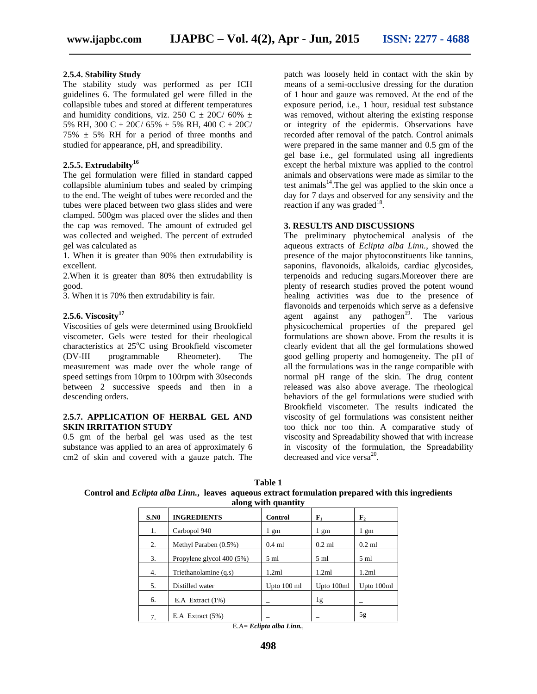#### **2.5.4. Stability Study**

The stability study was performed as per ICH guidelines 6. The formulated gel were filled in the collapsible tubes and stored at different temperatures and humidity conditions, viz. 250 C  $\pm$  20C/ 60%  $\pm$ 5% RH, 300 C  $\pm$  20C/ 65%  $\pm$  5% RH, 400 C  $\pm$  20C/  $75\% \pm 5\%$  RH for a period of three months and studied for appearance, pH, and spreadibility.

### **2.5.5. Extrudabilty<sup>16</sup>**

The gel formulation were filled in standard capped collapsible aluminium tubes and sealed by crimping to the end. The weight of tubes were recorded and the tubes were placed between two glass slides and were clamped. 500gm was placed over the slides and then the cap was removed. The amount of extruded gel was collected and weighed. The percent of extruded gel was calculated as

1. When it is greater than 90% then extrudability is excellent.

2.When it is greater than 80% then extrudability is good.

3. When it is 70% then extrudability is fair.

#### **2.5.6. Viscosity<sup>17</sup>**

Viscosities of gels were determined using Brookfield viscometer. Gels were tested for their rheological characteristics at  $25^{\circ}$ C using Brookfield viscometer (DV-III programmable Rheometer). The measurement was made over the whole range of speed settings from 10rpm to 100rpm with 30seconds between 2 successive speeds and then in a descending orders.

#### **2.5.7. APPLICATION OF HERBAL GEL AND SKIN IRRITATION STUDY**

0.5 gm of the herbal gel was used as the test substance was applied to an area of approximately 6 cm2 of skin and covered with a gauze patch. The

patch was loosely held in contact with the skin by means of a semi-occlusive dressing for the duration of 1 hour and gauze was removed. At the end of the exposure period, i.e., 1 hour, residual test substance was removed, without altering the existing response or integrity of the epidermis. Observations have recorded after removal of the patch. Control animals were prepared in the same manner and 0.5 gm of the gel base i.e., gel formulated using all ingredients except the herbal mixture was applied to the control animals and observations were made as similar to the test animals<sup>14</sup>. The gel was applied to the skin once a day for 7 days and observed for any sensivity and the reaction if any was graded $^{18}$ .

#### **3. RESULTS AND DISCUSSIONS**

The preliminary phytochemical analysis of the aqueous extracts of *Eclipta alba Linn.*, showed the presence of the major phytoconstituents like tannins, saponins, flavonoids, alkaloids, cardiac glycosides, terpenoids and reducing sugars.Moreover there are plenty of research studies proved the potent wound healing activities was due to the presence of flavonoids and terpenoids which serve as a defensive agent against any pathogen<sup>19</sup>. The various physicochemical properties of the prepared gel formulations are shown above. From the results it is clearly evident that all the gel formulations showed good gelling property and homogeneity. The pH of all the formulations was in the range compatible with normal pH range of the skin. The drug content released was also above average. The rheological behaviors of the gel formulations were studied with Brookfield viscometer. The results indicated the viscosity of gel formulations was consistent neither too thick nor too thin. A comparative study of viscosity and Spreadability showed that with increase in viscosity of the formulation, the Spreadability decreased and vice versa<sup>20</sup>.

| Table 1                                                                                                   |  |
|-----------------------------------------------------------------------------------------------------------|--|
| Control and <i>Eclipta alba Linn.</i> , leaves aqueous extract formulation prepared with this ingredients |  |
| -along with quantity                                                                                      |  |

|      | - -                       |                |                |                |
|------|---------------------------|----------------|----------------|----------------|
| S.N0 | <b>INGREDIENTS</b>        | Control        | ${\bf F}_1$    | $\mathbf{F}_2$ |
| 1.   | Carbopol 940              | 1 gm           | $1 \text{ gm}$ | 1 gm           |
| 2.   | Methyl Paraben (0.5%)     | $0.4$ ml       | $0.2$ ml       | $0.2$ ml       |
| 3.   | Propylene glycol 400 (5%) | $5 \text{ ml}$ | $5 \text{ ml}$ | $5 \text{ ml}$ |
| 4.   | Triethanolamine (q.s)     | 1.2ml          | 1.2ml          | 1.2ml          |
| 5.   | Distilled water           | Upto 100 ml    | Upto 100ml     | Upto 100ml     |
| 6.   | E.A Extract $(1\%)$       | -              | 1g             | -              |
| 7.   | E.A Extract $(5%)$        |                |                | 5g             |

E.A= *Eclipta alba Linn.*,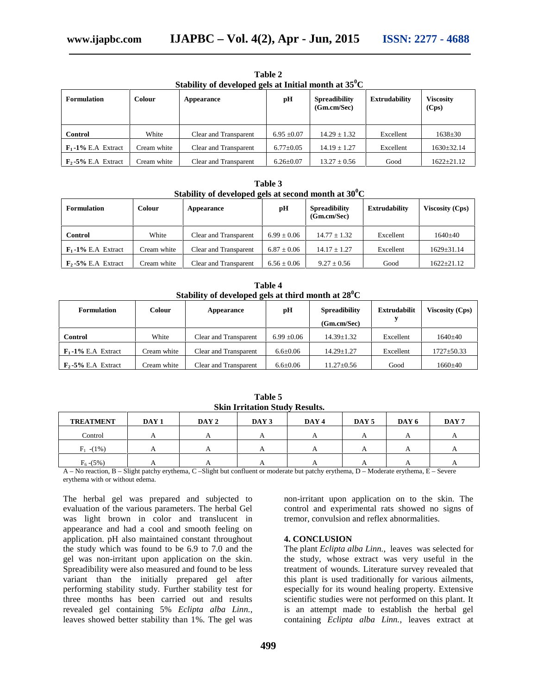| <b>Formulation</b><br>Colour   |             | Stability of developed gels at Initial month at $35^{\circ}$ C<br>рH<br>Appearance |                 | <b>Spreadibility</b><br>(Gm.cm/Sec) | <b>Extrudability</b> | <b>Viscosity</b><br>(Cps) |
|--------------------------------|-------------|------------------------------------------------------------------------------------|-----------------|-------------------------------------|----------------------|---------------------------|
| <b>Control</b>                 | White       | Clear and Transparent                                                              | $6.95 \pm 0.07$ | $14.29 \pm 1.32$                    | Excellent            | $1638 \pm 30$             |
| $\mathbf{F}_1$ -1% E.A Extract | Cream white | Clear and Transparent                                                              | $6.77 \pm 0.05$ | $14.19 \pm 1.27$                    | Excellent            | $1630 \pm 32.14$          |
| $\mathbf{F}_2$ -5% E.A Extract | Cream white | Clear and Transparent                                                              | $6.26 \pm 0.07$ | $13.27 \pm 0.56$                    | Good                 | $1622 \pm 21.12$          |

**Table 2 Stability of developed gels at Initial month at 35<sup>0</sup>C**

**Table 3 Stability of developed gels at second month at 30<sup>0</sup>C**

| <b>Formulation</b>             | Colour      | Appearance            | pН              | <b>Spreadibility</b><br>(Gm.cm/Sec) | <b>Extrudability</b> | <b>Viscosity (Cps)</b> |
|--------------------------------|-------------|-----------------------|-----------------|-------------------------------------|----------------------|------------------------|
| Control                        | White       | Clear and Transparent | $6.99 + 0.06$   | $14.77 + 1.32$                      | Excellent            | $1640+40$              |
| $\mathbf{F}_1$ -1% E.A Extract | Cream white | Clear and Transparent | $6.87 + 0.06$   | $14.17 \pm 1.27$                    | Excellent            | $1629 \pm 31.14$       |
| $\mathbf{F}_2$ -5% E.A Extract | Cream white | Clear and Transparent | $6.56 \pm 0.06$ | $9.27 \pm 0.56$                     | Good                 | $1622 + 21.12$         |

**Table 4 Stability of developed gels at third month at 28<sup>0</sup>C**

| <b>Formulation</b>             | <b>Colour</b> | Appearance            | рH              | <b>Spreadibility</b><br>(Gm.cm/Sec) | <b>Extrudabilit</b> | <b>Viscosity (Cps)</b> |
|--------------------------------|---------------|-----------------------|-----------------|-------------------------------------|---------------------|------------------------|
| Control                        | White         | Clear and Transparent | $6.99 \pm 0.06$ | $14.39 \pm 1.32$                    | Excellent           | $1640+40$              |
| $\mathbf{F}_1$ -1% E.A Extract | Cream white   | Clear and Transparent | $6.6 \pm 0.06$  | $14.29 + 1.27$                      | Excellent           | $1727 \pm 50.33$       |
| $\mathbf{F}_2$ -5% E.A Extract | Cream white   | Clear and Transparent | $6.6 \pm 0.06$  | $11.27 \pm 0.56$                    | Good                | 1660±40                |

**Table 5 Skin Irritation Study Results.**

| <b>TREATMENT</b> | DAY 1 | DAY 2 | DAY 3 | DAY 4 | DAY 5    | DAY 6    | DAY 7 |
|------------------|-------|-------|-------|-------|----------|----------|-------|
| Control          |       |       |       |       |          | A        |       |
| $F_1$ -(1%)      |       |       |       |       |          |          |       |
| $F_6 - (5\%)$    |       |       |       |       | $\Gamma$ | $\Gamma$ |       |

A – No reaction, B – Slight patchy erythema, C –Slight but confluent or moderate but patchy erythema, D – Moderate erythema, E – Severe erythema with or without edema.

The herbal gel was prepared and subjected to evaluation of the various parameters. The herbal Gel was light brown in color and translucent in appearance and had a cool and smooth feeling on application. pH also maintained constant throughout the study which was found to be 6.9 to 7.0 and the gel was non-irritant upon application on the skin. Spreadibility were also measured and found to be less variant than the initially prepared gel after performing stability study. Further stability test for three months has been carried out and results revealed gel containing 5% *Eclipta alba Linn.*, leaves showed better stability than 1%. The gel was

non-irritant upon application on to the skin. The control and experimental rats showed no signs of tremor, convulsion and reflex abnormalities.

#### **4. CONCLUSION**

The plant *Eclipta alba Linn.*, leaves was selected for the study, whose extract was very useful in the treatment of wounds. Literature survey revealed that this plant is used traditionally for various ailments, especially for its wound healing property. Extensive scientific studies were not performed on this plant. It is an attempt made to establish the herbal gel containing *Eclipta alba Linn.*, leaves extract at